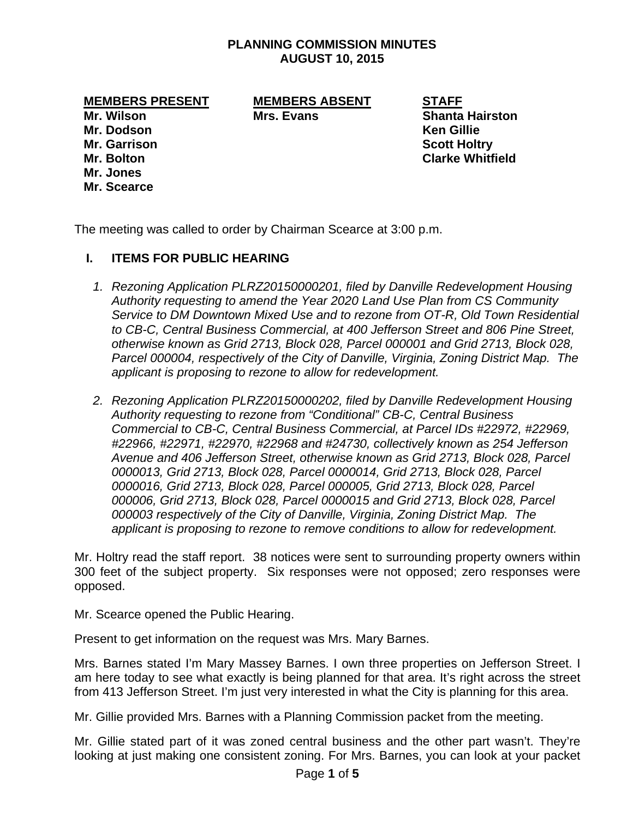### **PLANNING COMMISSION MINUTES AUGUST 10, 2015**

**MEMBERS PRESENT MEMBERS ABSENT STAFF** 

**Mr. Jones Mr. Scearce** 

**Mr. Wilson Communist Communist Mrs. Evans Communist Communist Shanta Hairston** 

**Mr. Dodson Ken Gillie Mr. Garrison Scott Holtry Area Accord Area Accord Scott Holtry Mr. Bolton Clarke Whitfield** 

The meeting was called to order by Chairman Scearce at 3:00 p.m.

# **I. ITEMS FOR PUBLIC HEARING**

- *1. Rezoning Application PLRZ20150000201, filed by Danville Redevelopment Housing Authority requesting to amend the Year 2020 Land Use Plan from CS Community Service to DM Downtown Mixed Use and to rezone from OT-R, Old Town Residential to CB-C, Central Business Commercial, at 400 Jefferson Street and 806 Pine Street, otherwise known as Grid 2713, Block 028, Parcel 000001 and Grid 2713, Block 028, Parcel 000004, respectively of the City of Danville, Virginia, Zoning District Map. The applicant is proposing to rezone to allow for redevelopment.*
- *2. Rezoning Application PLRZ20150000202, filed by Danville Redevelopment Housing Authority requesting to rezone from "Conditional" CB-C, Central Business Commercial to CB-C, Central Business Commercial, at Parcel IDs #22972, #22969, #22966, #22971, #22970, #22968 and #24730, collectively known as 254 Jefferson Avenue and 406 Jefferson Street, otherwise known as Grid 2713, Block 028, Parcel 0000013, Grid 2713, Block 028, Parcel 0000014, Grid 2713, Block 028, Parcel 0000016, Grid 2713, Block 028, Parcel 000005, Grid 2713, Block 028, Parcel 000006, Grid 2713, Block 028, Parcel 0000015 and Grid 2713, Block 028, Parcel 000003 respectively of the City of Danville, Virginia, Zoning District Map. The applicant is proposing to rezone to remove conditions to allow for redevelopment.*

Mr. Holtry read the staff report. 38 notices were sent to surrounding property owners within 300 feet of the subject property. Six responses were not opposed; zero responses were opposed.

Mr. Scearce opened the Public Hearing.

Present to get information on the request was Mrs. Mary Barnes.

Mrs. Barnes stated I'm Mary Massey Barnes. I own three properties on Jefferson Street. I am here today to see what exactly is being planned for that area. It's right across the street from 413 Jefferson Street. I'm just very interested in what the City is planning for this area.

Mr. Gillie provided Mrs. Barnes with a Planning Commission packet from the meeting.

Mr. Gillie stated part of it was zoned central business and the other part wasn't. They're looking at just making one consistent zoning. For Mrs. Barnes, you can look at your packet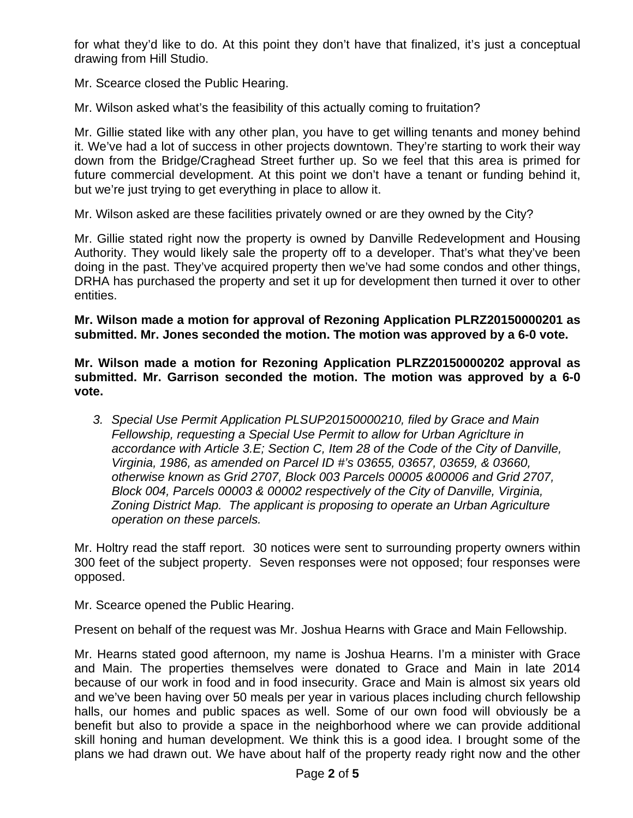for what they'd like to do. At this point they don't have that finalized, it's just a conceptual drawing from Hill Studio.

Mr. Scearce closed the Public Hearing.

Mr. Wilson asked what's the feasibility of this actually coming to fruitation?

Mr. Gillie stated like with any other plan, you have to get willing tenants and money behind it. We've had a lot of success in other projects downtown. They're starting to work their way down from the Bridge/Craghead Street further up. So we feel that this area is primed for future commercial development. At this point we don't have a tenant or funding behind it, but we're just trying to get everything in place to allow it.

Mr. Wilson asked are these facilities privately owned or are they owned by the City?

Mr. Gillie stated right now the property is owned by Danville Redevelopment and Housing Authority. They would likely sale the property off to a developer. That's what they've been doing in the past. They've acquired property then we've had some condos and other things, DRHA has purchased the property and set it up for development then turned it over to other entities.

**Mr. Wilson made a motion for approval of Rezoning Application PLRZ20150000201 as submitted. Mr. Jones seconded the motion. The motion was approved by a 6-0 vote.** 

**Mr. Wilson made a motion for Rezoning Application PLRZ20150000202 approval as submitted. Mr. Garrison seconded the motion. The motion was approved by a 6-0 vote.** 

*3. Special Use Permit Application PLSUP20150000210, filed by Grace and Main Fellowship, requesting a Special Use Permit to allow for Urban Agriclture in accordance with Article 3.E; Section C, Item 28 of the Code of the City of Danville, Virginia, 1986, as amended on Parcel ID #'s 03655, 03657, 03659, & 03660, otherwise known as Grid 2707, Block 003 Parcels 00005 &00006 and Grid 2707, Block 004, Parcels 00003 & 00002 respectively of the City of Danville, Virginia, Zoning District Map. The applicant is proposing to operate an Urban Agriculture operation on these parcels.* 

Mr. Holtry read the staff report. 30 notices were sent to surrounding property owners within 300 feet of the subject property. Seven responses were not opposed; four responses were opposed.

Mr. Scearce opened the Public Hearing.

Present on behalf of the request was Mr. Joshua Hearns with Grace and Main Fellowship.

Mr. Hearns stated good afternoon, my name is Joshua Hearns. I'm a minister with Grace and Main. The properties themselves were donated to Grace and Main in late 2014 because of our work in food and in food insecurity. Grace and Main is almost six years old and we've been having over 50 meals per year in various places including church fellowship halls, our homes and public spaces as well. Some of our own food will obviously be a benefit but also to provide a space in the neighborhood where we can provide additional skill honing and human development. We think this is a good idea. I brought some of the plans we had drawn out. We have about half of the property ready right now and the other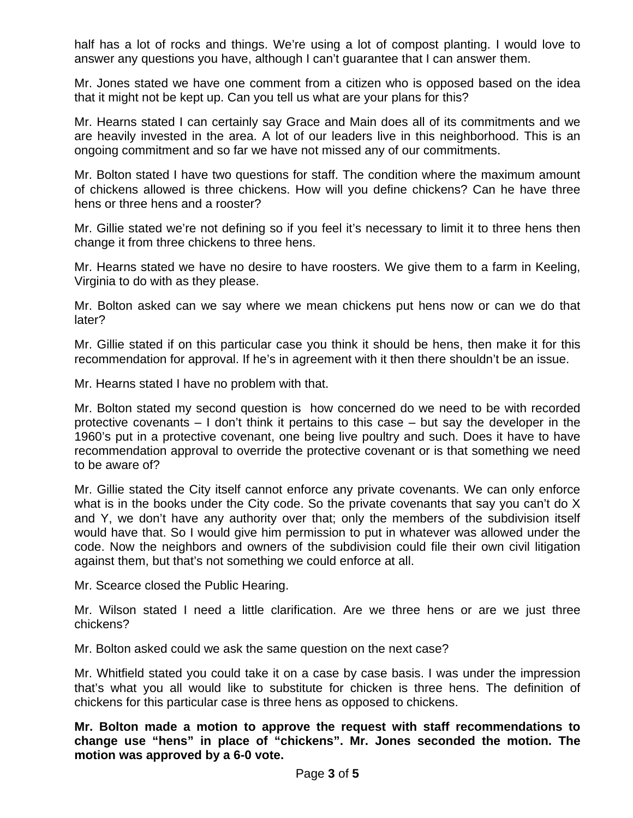half has a lot of rocks and things. We're using a lot of compost planting. I would love to answer any questions you have, although I can't guarantee that I can answer them.

Mr. Jones stated we have one comment from a citizen who is opposed based on the idea that it might not be kept up. Can you tell us what are your plans for this?

Mr. Hearns stated I can certainly say Grace and Main does all of its commitments and we are heavily invested in the area. A lot of our leaders live in this neighborhood. This is an ongoing commitment and so far we have not missed any of our commitments.

Mr. Bolton stated I have two questions for staff. The condition where the maximum amount of chickens allowed is three chickens. How will you define chickens? Can he have three hens or three hens and a rooster?

Mr. Gillie stated we're not defining so if you feel it's necessary to limit it to three hens then change it from three chickens to three hens.

Mr. Hearns stated we have no desire to have roosters. We give them to a farm in Keeling, Virginia to do with as they please.

Mr. Bolton asked can we say where we mean chickens put hens now or can we do that later?

Mr. Gillie stated if on this particular case you think it should be hens, then make it for this recommendation for approval. If he's in agreement with it then there shouldn't be an issue.

Mr. Hearns stated I have no problem with that.

Mr. Bolton stated my second question is how concerned do we need to be with recorded protective covenants – I don't think it pertains to this case – but say the developer in the 1960's put in a protective covenant, one being live poultry and such. Does it have to have recommendation approval to override the protective covenant or is that something we need to be aware of?

Mr. Gillie stated the City itself cannot enforce any private covenants. We can only enforce what is in the books under the City code. So the private covenants that say you can't do X and Y, we don't have any authority over that; only the members of the subdivision itself would have that. So I would give him permission to put in whatever was allowed under the code. Now the neighbors and owners of the subdivision could file their own civil litigation against them, but that's not something we could enforce at all.

Mr. Scearce closed the Public Hearing.

Mr. Wilson stated I need a little clarification. Are we three hens or are we just three chickens?

Mr. Bolton asked could we ask the same question on the next case?

Mr. Whitfield stated you could take it on a case by case basis. I was under the impression that's what you all would like to substitute for chicken is three hens. The definition of chickens for this particular case is three hens as opposed to chickens.

**Mr. Bolton made a motion to approve the request with staff recommendations to change use "hens" in place of "chickens". Mr. Jones seconded the motion. The motion was approved by a 6-0 vote.**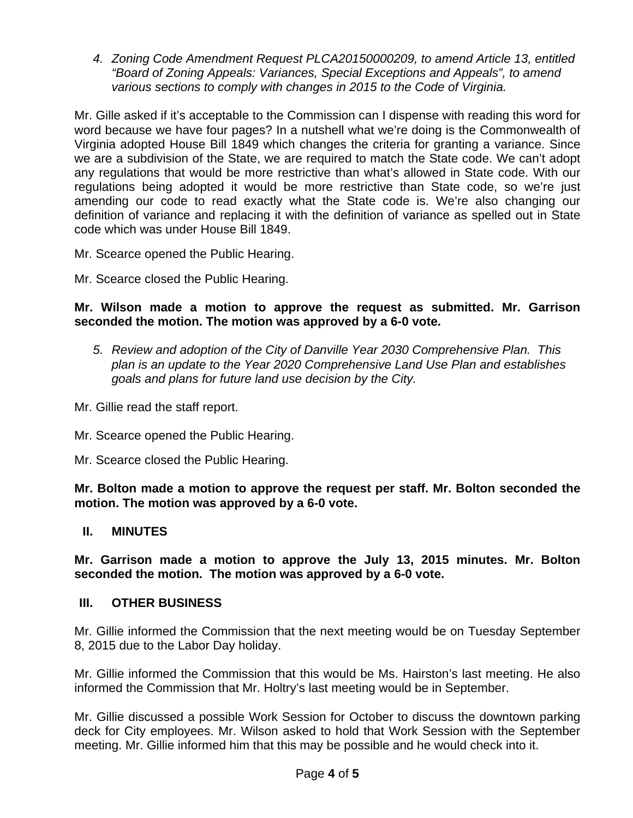*4. Zoning Code Amendment Request PLCA20150000209, to amend Article 13, entitled "Board of Zoning Appeals: Variances, Special Exceptions and Appeals", to amend various sections to comply with changes in 2015 to the Code of Virginia.* 

Mr. Gille asked if it's acceptable to the Commission can I dispense with reading this word for word because we have four pages? In a nutshell what we're doing is the Commonwealth of Virginia adopted House Bill 1849 which changes the criteria for granting a variance. Since we are a subdivision of the State, we are required to match the State code. We can't adopt any regulations that would be more restrictive than what's allowed in State code. With our regulations being adopted it would be more restrictive than State code, so we're just amending our code to read exactly what the State code is. We're also changing our definition of variance and replacing it with the definition of variance as spelled out in State code which was under House Bill 1849.

Mr. Scearce opened the Public Hearing.

Mr. Scearce closed the Public Hearing.

## **Mr. Wilson made a motion to approve the request as submitted. Mr. Garrison seconded the motion. The motion was approved by a 6-0 vote.**

- *5. Review and adoption of the City of Danville Year 2030 Comprehensive Plan. This plan is an update to the Year 2020 Comprehensive Land Use Plan and establishes goals and plans for future land use decision by the City.*
- Mr. Gillie read the staff report.
- Mr. Scearce opened the Public Hearing.
- Mr. Scearce closed the Public Hearing.

**Mr. Bolton made a motion to approve the request per staff. Mr. Bolton seconded the motion. The motion was approved by a 6-0 vote.** 

## **II. MINUTES**

**Mr. Garrison made a motion to approve the July 13, 2015 minutes. Mr. Bolton seconded the motion. The motion was approved by a 6-0 vote.** 

## **III. OTHER BUSINESS**

Mr. Gillie informed the Commission that the next meeting would be on Tuesday September 8, 2015 due to the Labor Day holiday.

Mr. Gillie informed the Commission that this would be Ms. Hairston's last meeting. He also informed the Commission that Mr. Holtry's last meeting would be in September.

Mr. Gillie discussed a possible Work Session for October to discuss the downtown parking deck for City employees. Mr. Wilson asked to hold that Work Session with the September meeting. Mr. Gillie informed him that this may be possible and he would check into it.